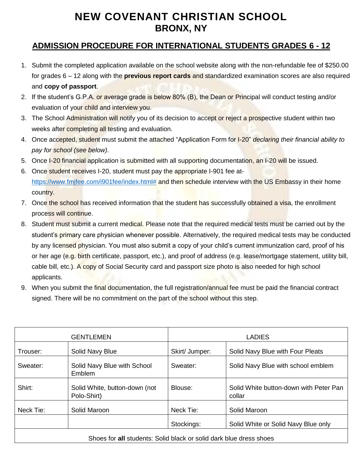## **NEW COVENANT CHRISTIAN SCHOOL BRONX, NY**

## **ADMISSION PROCEDURE FOR INTERNATIONAL STUDENTS GRADES 6 - 12**

- 1. Submit the completed application available on the school website along with the non-refundable fee of \$250.00 for grades 6 – 12 along with the **previous report cards** and standardized examination scores are also required and **copy of passport**.
- 2. If the student's G.P.A. or average grade is below 80% (B), the Dean or Principal will conduct testing and/or evaluation of your child and interview you.
- 3. The School Administration will notify you of its decision to accept or reject a prospective student within two weeks after completing all testing and evaluation.
- 4. Once accepted, student must submit the attached "Application Form for I-20" *declaring their financial ability to pay for school (see below)*.
- 5. Once I-20 financial application is submitted with all supporting documentation, an I-20 will be issued.
- 6. Once student receives I-20, student must pay the appropriate I-901 fee at[https://www.fmjfee.com/i901fee/index.html#](https://www.fmjfee.com/i901fee/index.html) and then schedule interview with the US Embassy in their home country.
- 7. Once the school has received information that the student has successfully obtained a visa, the enrollment process will continue.
- 8. Student must submit a current medical. Please note that the required medical tests must be carried out by the student's primary care physician whenever possible. Alternatively, the required medical tests may be conducted by any licensed physician. You must also submit a copy of your child's current immunization card, proof of his or her age (e.g. birth certificate, passport, etc.), and proof of address (e.g. lease/mortgage statement, utility bill, cable bill, etc.). A copy of Social Security card and passport size photo is also needed for high school applicants.
- 9. When you submit the final documentation, the full registration/annual fee must be paid the financial contract signed. There will be no commitment on the part of the school without this step.

|           | <b>GENTLEMEN</b>                             |                | <b>LADIES</b>                                    |
|-----------|----------------------------------------------|----------------|--------------------------------------------------|
| Trouser:  | Solid Navy Blue                              | Skirt/ Jumper: | Solid Navy Blue with Four Pleats                 |
| Sweater:  | Solid Navy Blue with School<br><b>Emblem</b> | Sweater:       | Solid Navy Blue with school emblem               |
| Shirt:    | Solid White, button-down (not<br>Polo-Shirt) | Blouse:        | Solid White button-down with Peter Pan<br>collar |
| Neck Tie: | Solid Maroon                                 | Neck Tie:      | Solid Maroon                                     |
|           |                                              | Stockings:     | Solid White or Solid Navy Blue only              |
|           |                                              |                |                                                  |

Shoes for **all** students: Solid black or solid dark blue dress shoes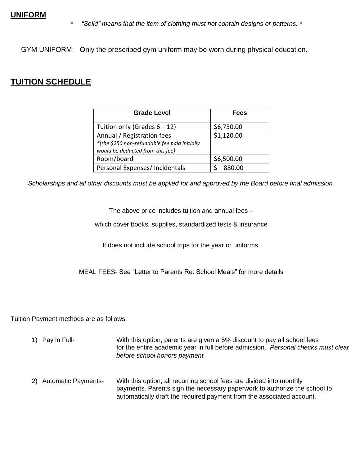#### **UNIFORM**

\* *"Solid" means that the item of clothing must not contain designs or patterns.* \*

GYM UNIFORM: Only the prescribed gym uniform may be worn during physical education.

## **TUITION SCHEDULE**

| <b>Grade Level</b>                                                                                              | Fees       |
|-----------------------------------------------------------------------------------------------------------------|------------|
| Tuition only (Grades $6 - 12$ )                                                                                 | \$6,750.00 |
| Annual / Registration fees<br>*(the \$250 non-refundable fee paid initially<br>would be deducted from this fee) | \$1,120.00 |
| Room/board                                                                                                      | \$6,500.00 |
| Personal Expenses/ Incidentals                                                                                  | 880.00     |

*Scholarships and all other discounts must be applied for and approved by the Board before final admission.*

The above price includes tuition and annual fees –

which cover books, supplies, standardized tests & insurance

It does not include school trips for the year or uniforms.

MEAL FEES- See "Letter to Parents Re: School Meals" for more details

Tuition Payment methods are as follows:

- 1) Pay in Full- With this option, parents are given a 5% discount to pay all school fees for the entire academic year in full before admission. *Personal checks must clear before school honors payment.*
- 2) Automatic Payments- With this option, all recurring school fees are divided into monthly payments. Parents sign the necessary paperwork to authorize the school to automatically draft the required payment from the associated account.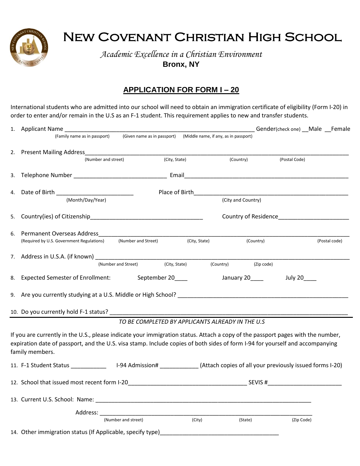

# New Covenant Christian High School

*Academic Excellence in a Christian Environment* **Bronx, NY**

### **APPLICATION FOR FORM I – 20**

International students who are admitted into our school will need to obtain an immigration certificate of eligibility (Form I-20) in order to enter and/or remain in the U.S as an F-1 student. This requirement applies to new and transfer students.

|    | 1. Applicant Name                                                                                                                                                                                                                                                                   |                     |                                                                   |               |                                                    | Gender(check one) __Male __Female |               |  |
|----|-------------------------------------------------------------------------------------------------------------------------------------------------------------------------------------------------------------------------------------------------------------------------------------|---------------------|-------------------------------------------------------------------|---------------|----------------------------------------------------|-----------------------------------|---------------|--|
|    | (Family name as in passport)                                                                                                                                                                                                                                                        |                     | (Given name as in passport) (Middle name, if any, as in passport) |               |                                                    |                                   |               |  |
|    | 2. Present Mailing Address__________                                                                                                                                                                                                                                                |                     |                                                                   |               |                                                    |                                   |               |  |
|    | (Number and street)                                                                                                                                                                                                                                                                 |                     | (City, State)                                                     |               | (Country)                                          | (Postal Code)                     |               |  |
|    |                                                                                                                                                                                                                                                                                     |                     |                                                                   |               |                                                    |                                   |               |  |
| 4. | Date of Birth ___________________________                                                                                                                                                                                                                                           |                     |                                                                   |               | Place of Birth <b>Exercise 2018 Place of Birth</b> |                                   |               |  |
|    | (Month/Day/Year)                                                                                                                                                                                                                                                                    |                     |                                                                   |               | (City and Country)                                 |                                   |               |  |
|    |                                                                                                                                                                                                                                                                                     |                     |                                                                   |               |                                                    |                                   |               |  |
| 6. | Permanent Overseas Address                                                                                                                                                                                                                                                          |                     |                                                                   |               |                                                    |                                   |               |  |
|    | (Required by U.S. Government Regulations)                                                                                                                                                                                                                                           | (Number and Street) |                                                                   | (City, State) | (Country)                                          |                                   | (Postal code) |  |
|    |                                                                                                                                                                                                                                                                                     | (Number and Street) | (City, State)                                                     |               | (Country) (Zip code)                               |                                   |               |  |
| 8. | Expected Semester of Enrollment: September 20____                                                                                                                                                                                                                                   |                     |                                                                   |               | January 20____                                     | July 20_____                      |               |  |
|    |                                                                                                                                                                                                                                                                                     |                     |                                                                   |               |                                                    |                                   |               |  |
|    |                                                                                                                                                                                                                                                                                     |                     |                                                                   |               |                                                    |                                   |               |  |
|    |                                                                                                                                                                                                                                                                                     |                     | TO BE COMPLETED BY APPLICANTS ALREADY IN THE U.S.                 |               |                                                    |                                   |               |  |
|    | If you are currently in the U.S., please indicate your immigration status. Attach a copy of the passport pages with the number,<br>expiration date of passport, and the U.S. visa stamp. Include copies of both sides of form I-94 for yourself and accompanying<br>family members. |                     |                                                                   |               |                                                    |                                   |               |  |
|    |                                                                                                                                                                                                                                                                                     |                     |                                                                   |               |                                                    |                                   |               |  |
|    |                                                                                                                                                                                                                                                                                     |                     |                                                                   |               |                                                    |                                   |               |  |
|    | 13. Current U.S. School: Name:                                                                                                                                                                                                                                                      |                     |                                                                   |               |                                                    |                                   |               |  |
|    |                                                                                                                                                                                                                                                                                     |                     |                                                                   |               |                                                    |                                   |               |  |
|    |                                                                                                                                                                                                                                                                                     | (Number and street) | (City)                                                            |               | (State)                                            | (Zip Code)                        |               |  |
|    | 14. Other immigration status (If Applicable, specify type)                                                                                                                                                                                                                          |                     |                                                                   |               |                                                    |                                   |               |  |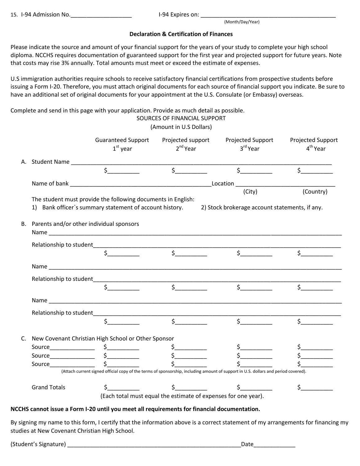(Month/Day/Year)

#### **Declaration & Certification of Finances**

Please indicate the source and amount of your financial support for the years of your study to complete your high school diploma. NCCHS requires documentation of guaranteed support for the first year and projected support for future years. Note that costs may rise 3% annually. Total amounts must meet or exceed the estimate of expenses.

U.S immigration authorities require schools to receive satisfactory financial certifications from prospective students before issuing a Form I-20. Therefore, you must attach original documents for each source of financial support you indicate. Be sure to have an additional set of original documents for your appointment at the U.S. Consulate (or Embassy) overseas.

SOURCES OF FINANCIAL SUPPORT

Complete and send in this page with your application. Provide as much detail as possible.

|    |                                             |                                                                                                                         | (Amount in U.S Dollars)                                                                                                                                                                                                                                                                                                                             |                                                                                                                                                                                                                                                                                                                                                     |                                           |
|----|---------------------------------------------|-------------------------------------------------------------------------------------------------------------------------|-----------------------------------------------------------------------------------------------------------------------------------------------------------------------------------------------------------------------------------------------------------------------------------------------------------------------------------------------------|-----------------------------------------------------------------------------------------------------------------------------------------------------------------------------------------------------------------------------------------------------------------------------------------------------------------------------------------------------|-------------------------------------------|
|    |                                             | <b>Guaranteed Support</b><br>$1st$ year                                                                                 | Projected support<br>2 <sup>nd</sup> Year                                                                                                                                                                                                                                                                                                           | Projected Support<br>3 <sup>rd</sup> Year                                                                                                                                                                                                                                                                                                           | Projected Support<br>4 <sup>th</sup> Year |
|    | A. Student Name                             |                                                                                                                         |                                                                                                                                                                                                                                                                                                                                                     |                                                                                                                                                                                                                                                                                                                                                     |                                           |
|    |                                             | $\zeta$                                                                                                                 | $\frac{1}{2}$                                                                                                                                                                                                                                                                                                                                       | $\frac{1}{2}$                                                                                                                                                                                                                                                                                                                                       | $\sharp$                                  |
|    |                                             |                                                                                                                         |                                                                                                                                                                                                                                                                                                                                                     |                                                                                                                                                                                                                                                                                                                                                     |                                           |
|    |                                             | The student must provide the following documents in English:<br>1) Bank officer's summary statement of account history. |                                                                                                                                                                                                                                                                                                                                                     | (City)<br>2) Stock brokerage account statements, if any.                                                                                                                                                                                                                                                                                            | (Country)                                 |
|    | B. Parents and/or other individual sponsors |                                                                                                                         |                                                                                                                                                                                                                                                                                                                                                     |                                                                                                                                                                                                                                                                                                                                                     |                                           |
|    |                                             |                                                                                                                         |                                                                                                                                                                                                                                                                                                                                                     |                                                                                                                                                                                                                                                                                                                                                     |                                           |
|    |                                             | $\frac{1}{2}$                                                                                                           | $\frac{1}{2}$                                                                                                                                                                                                                                                                                                                                       | $\sharp$                                                                                                                                                                                                                                                                                                                                            | $\frac{1}{2}$                             |
|    |                                             |                                                                                                                         |                                                                                                                                                                                                                                                                                                                                                     |                                                                                                                                                                                                                                                                                                                                                     |                                           |
|    |                                             |                                                                                                                         |                                                                                                                                                                                                                                                                                                                                                     |                                                                                                                                                                                                                                                                                                                                                     |                                           |
|    |                                             | $\sharp$                                                                                                                | $\begin{picture}(20,20) \put(0,0){\line(1,0){10}} \put(15,0){\line(1,0){10}} \put(15,0){\line(1,0){10}} \put(15,0){\line(1,0){10}} \put(15,0){\line(1,0){10}} \put(15,0){\line(1,0){10}} \put(15,0){\line(1,0){10}} \put(15,0){\line(1,0){10}} \put(15,0){\line(1,0){10}} \put(15,0){\line(1,0){10}} \put(15,0){\line(1,0){10}} \put(15,0){\line(1$ | $\zeta$                                                                                                                                                                                                                                                                                                                                             | $\sharp$                                  |
|    |                                             |                                                                                                                         |                                                                                                                                                                                                                                                                                                                                                     |                                                                                                                                                                                                                                                                                                                                                     |                                           |
|    |                                             |                                                                                                                         |                                                                                                                                                                                                                                                                                                                                                     |                                                                                                                                                                                                                                                                                                                                                     |                                           |
|    |                                             | $\sharp$                                                                                                                | $\frac{1}{2}$                                                                                                                                                                                                                                                                                                                                       | $\begin{picture}(20,20) \put(0,0){\line(1,0){10}} \put(15,0){\line(1,0){10}} \put(15,0){\line(1,0){10}} \put(15,0){\line(1,0){10}} \put(15,0){\line(1,0){10}} \put(15,0){\line(1,0){10}} \put(15,0){\line(1,0){10}} \put(15,0){\line(1,0){10}} \put(15,0){\line(1,0){10}} \put(15,0){\line(1,0){10}} \put(15,0){\line(1,0){10}} \put(15,0){\line(1$ | $\zeta$                                   |
| C. |                                             |                                                                                                                         |                                                                                                                                                                                                                                                                                                                                                     |                                                                                                                                                                                                                                                                                                                                                     |                                           |
|    |                                             | New Covenant Christian High School or Other Sponsor                                                                     | $\begin{picture}(20,20) \put(0,0){\line(1,0){10}} \put(15,0){\line(1,0){10}} \put(15,0){\line(1,0){10}} \put(15,0){\line(1,0){10}} \put(15,0){\line(1,0){10}} \put(15,0){\line(1,0){10}} \put(15,0){\line(1,0){10}} \put(15,0){\line(1,0){10}} \put(15,0){\line(1,0){10}} \put(15,0){\line(1,0){10}} \put(15,0){\line(1,0){10}} \put(15,0){\line(1$ |                                                                                                                                                                                                                                                                                                                                                     |                                           |
|    |                                             |                                                                                                                         | $\begin{picture}(20,20) \put(0,0){\line(1,0){10}} \put(15,0){\line(1,0){10}} \put(15,0){\line(1,0){10}} \put(15,0){\line(1,0){10}} \put(15,0){\line(1,0){10}} \put(15,0){\line(1,0){10}} \put(15,0){\line(1,0){10}} \put(15,0){\line(1,0){10}} \put(15,0){\line(1,0){10}} \put(15,0){\line(1,0){10}} \put(15,0){\line(1,0){10}} \put(15,0){\line(1$ |                                                                                                                                                                                                                                                                                                                                                     |                                           |
|    |                                             |                                                                                                                         |                                                                                                                                                                                                                                                                                                                                                     |                                                                                                                                                                                                                                                                                                                                                     |                                           |
|    |                                             |                                                                                                                         |                                                                                                                                                                                                                                                                                                                                                     | (Attach current signed official copy of the terms of sponsorship, including amount of support in U.S. dollars and period covered).                                                                                                                                                                                                                  |                                           |
|    | <b>Grand Totals</b>                         | \$.                                                                                                                     | $\sharp$                                                                                                                                                                                                                                                                                                                                            |                                                                                                                                                                                                                                                                                                                                                     |                                           |
|    |                                             |                                                                                                                         | (Each total must equal the estimate of expenses for one year).                                                                                                                                                                                                                                                                                      |                                                                                                                                                                                                                                                                                                                                                     |                                           |

#### **NCCHS cannot issue a Form I-20 until you meet all requirements for financial documentation.**

By signing my name to this form, I certify that the information above is a correct statement of my arrangements for financing my studies at New Covenant Christian High School.

(Student's Signature) \_\_\_\_\_\_\_\_\_\_\_\_\_\_\_\_\_\_\_\_\_\_\_\_\_\_\_\_\_\_\_\_\_\_\_\_\_\_\_\_\_\_\_\_\_\_\_\_\_\_\_\_\_\_Date\_\_\_\_\_\_\_\_\_\_\_\_\_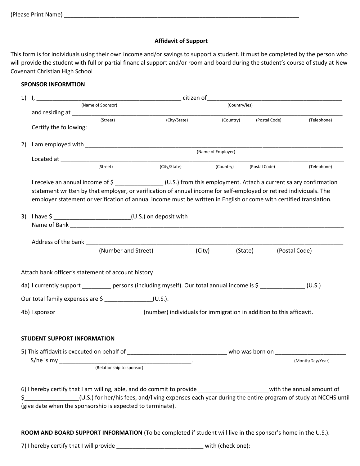#### **Affidavit of Support**

This form is for individuals using their own income and/or savings to support a student. It must be completed by the person who will provide the student with full or partial financial support and/or room and board during the student's course of study at New Covenant Christian High School

#### **SPONSOR INFORMTION**

|    | citizen of the contract of the contract of the contract of the contract of the contract of the contract of the             |                                    |                                                                                                                    |           |                          |                  |  |  |
|----|----------------------------------------------------------------------------------------------------------------------------|------------------------------------|--------------------------------------------------------------------------------------------------------------------|-----------|--------------------------|------------------|--|--|
|    |                                                                                                                            | (Name of Sponsor)<br>(Country/ies) |                                                                                                                    |           |                          |                  |  |  |
|    | and residing at ______________                                                                                             | (Street)                           | (City/State)                                                                                                       | (Country) | (Postal Code)            | (Telephone)      |  |  |
|    | Certify the following:                                                                                                     |                                    |                                                                                                                    |           |                          |                  |  |  |
| 2) |                                                                                                                            |                                    |                                                                                                                    |           |                          |                  |  |  |
|    | Located at the contract of the contract of the contract of the contract of the contract of the contract of the             |                                    | (Name of Employer)                                                                                                 |           |                          |                  |  |  |
|    |                                                                                                                            | (Street)                           | (City/State)                                                                                                       | (Country) | (Postal Code)            | (Telephone)      |  |  |
|    |                                                                                                                            |                                    | I receive an annual income of \$ ______________(U.S.) from this employment. Attach a current salary confirmation   |           |                          |                  |  |  |
|    |                                                                                                                            |                                    | statement written by that employer, or verification of annual income for self-employed or retired individuals. The |           |                          |                  |  |  |
|    |                                                                                                                            |                                    | employer statement or verification of annual income must be written in English or come with certified translation. |           |                          |                  |  |  |
| 3) | I have \$ ____________________________(U.S.) on deposit with                                                               |                                    |                                                                                                                    |           |                          |                  |  |  |
|    |                                                                                                                            |                                    |                                                                                                                    |           |                          |                  |  |  |
|    |                                                                                                                            |                                    |                                                                                                                    |           |                          |                  |  |  |
|    |                                                                                                                            | (Number and Street)                |                                                                                                                    | (City)    | (State)<br>(Postal Code) |                  |  |  |
|    |                                                                                                                            |                                    |                                                                                                                    |           |                          |                  |  |  |
|    | Attach bank officer's statement of account history                                                                         |                                    |                                                                                                                    |           |                          |                  |  |  |
|    | 4a) I currently support _________ persons (including myself). Our total annual income is \$ _____________(U.S.)            |                                    |                                                                                                                    |           |                          |                  |  |  |
|    | Our total family expenses are \$ _______________(U.S.).                                                                    |                                    |                                                                                                                    |           |                          |                  |  |  |
|    | 4b) I sponsor ___________________________(number) individuals for immigration in addition to this affidavit.               |                                    |                                                                                                                    |           |                          |                  |  |  |
|    |                                                                                                                            |                                    |                                                                                                                    |           |                          |                  |  |  |
|    | <b>STUDENT SUPPORT INFORMATION</b>                                                                                         |                                    |                                                                                                                    |           |                          |                  |  |  |
|    |                                                                                                                            |                                    |                                                                                                                    |           |                          |                  |  |  |
|    |                                                                                                                            |                                    |                                                                                                                    |           |                          | (Month/Day/Year) |  |  |
|    |                                                                                                                            | (Relationship to sponsor)          |                                                                                                                    |           |                          |                  |  |  |
|    |                                                                                                                            |                                    |                                                                                                                    |           |                          |                  |  |  |
|    | 6) I hereby certify that I am willing, able, and do commit to provide ______________________with the annual amount of      |                                    |                                                                                                                    |           |                          |                  |  |  |
|    | \$________________(U.S.) for her/his fees, and/living expenses each year during the entire program of study at NCCHS until |                                    |                                                                                                                    |           |                          |                  |  |  |
|    | (give date when the sponsorship is expected to terminate).                                                                 |                                    |                                                                                                                    |           |                          |                  |  |  |
|    |                                                                                                                            |                                    |                                                                                                                    |           |                          |                  |  |  |
|    | ROOM AND BOARD SUPPORT INFORMATION (To be completed if student will live in the sponsor's home in the U.S.).               |                                    |                                                                                                                    |           |                          |                  |  |  |

7) I hereby certify that I will provide \_\_\_\_\_\_\_\_\_\_\_\_\_\_\_\_\_\_\_\_\_\_\_\_\_\_\_\_\_\_\_\_\_with (check one):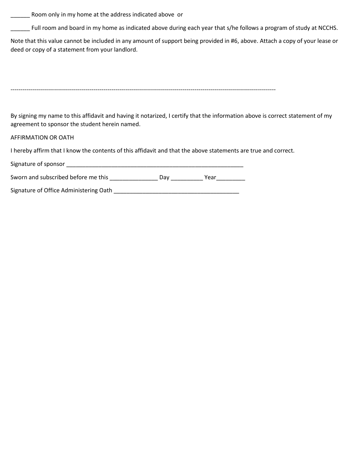**\_\_\_\_\_\_** Room only in my home at the address indicated above or

\_\_\_\_\_ Full room and board in my home as indicated above during each year that s/he follows a program of study at NCCHS.

Note that this value cannot be included in any amount of support being provided in #6, above. Attach a copy of your lease or deed or copy of a statement from your landlord.

| By signing my name to this affidavit and having it notarized, I certify that the information above is correct statement of my<br>agreement to sponsor the student herein named. |
|---------------------------------------------------------------------------------------------------------------------------------------------------------------------------------|
| AFFIRMATION OR OATH                                                                                                                                                             |
| I hereby affirm that I know the contents of this affidavit and that the above statements are true and correct.                                                                  |
|                                                                                                                                                                                 |
| Sworn and subscribed before me this<br>Day __________<br>Year                                                                                                                   |

Signature of Office Administering Oath \_\_\_\_\_\_\_\_\_\_\_\_\_\_\_\_\_\_\_\_\_\_\_\_\_\_\_\_\_\_\_\_\_\_\_\_\_\_\_